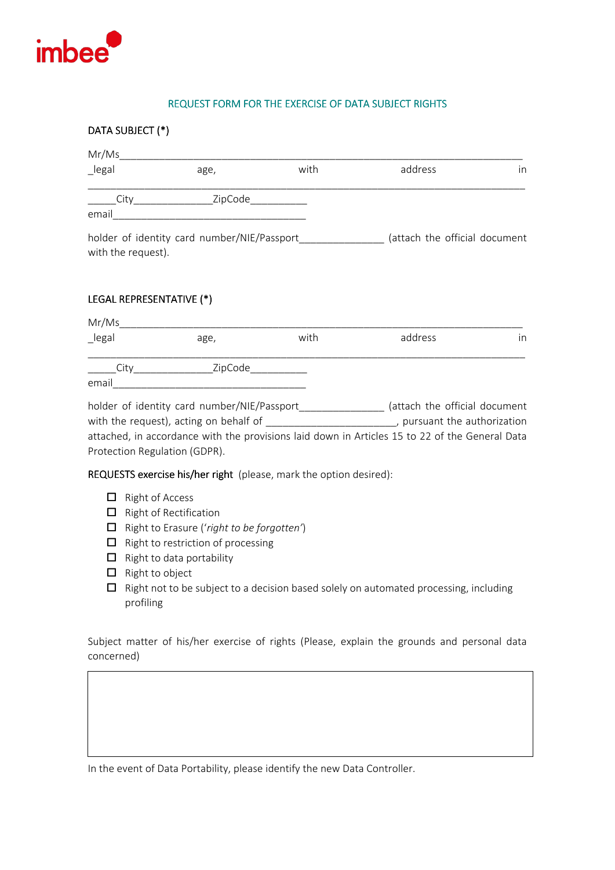

## **REQUEST FORM FOR THE EXERCISE OF DATA SUBJECT RIGHTS**

## **DATA SUBJECT (\*)** Mr/Ms\_\_\_\_\_\_\_\_\_\_\_\_\_\_\_\_\_\_\_\_\_\_\_\_\_\_\_\_\_\_\_\_\_\_\_\_\_\_\_\_\_\_\_\_\_\_\_\_\_\_\_\_\_\_\_\_\_\_\_\_\_\_\_\_\_\_\_\_\_\_\_ \_legal age, with address in \_\_\_\_\_\_\_\_\_\_\_\_\_\_\_\_\_\_\_\_\_\_\_\_\_\_\_\_\_\_\_\_\_\_\_\_\_\_\_\_\_\_\_\_\_\_\_\_\_\_\_\_\_\_\_\_\_\_\_\_\_\_\_\_\_\_\_\_\_\_\_\_\_\_\_\_\_  $City$  2ipCode email\_\_\_\_\_\_\_\_\_\_\_\_\_\_\_\_\_\_\_\_\_\_\_\_\_\_\_\_\_\_\_\_\_\_ holder of identity card number/NIE/Passport\_\_\_\_\_\_\_\_\_\_\_\_\_\_\_\_ (attach the official document with the request).

## **LEGAL REPRESENTATIVE (\*)**

| Mr/Ms  |         |      |         |    |
|--------|---------|------|---------|----|
| _legal | age,    | with | address | in |
| Citv   | ZipCode |      |         |    |
| email  |         |      |         |    |

| holder of identity card number/NIE/Passport                                                    | (attach the official document |
|------------------------------------------------------------------------------------------------|-------------------------------|
| with the request), acting on behalf of                                                         | , pursuant the authorization  |
| attached, in accordance with the provisions laid down in Articles 15 to 22 of the General Data |                               |
| Protection Regulation (GDPR).                                                                  |                               |

**REQUESTS exercise his/her right** (please, mark the option desired):

- $\Box$  Right of Access
- $\Box$  Right of Rectification
- Right to Erasure ('*right to be forgotten'*)
- $\Box$  Right to restriction of processing
- $\Box$  Right to data portability
- $\Box$  Right to object
- $\Box$  Right not to be subject to a decision based solely on automated processing, including profiling

Subject matter of his/her exercise of rights (Please, explain the grounds and personal data concerned)

In the event of Data Portability, please identify the new Data Controller.